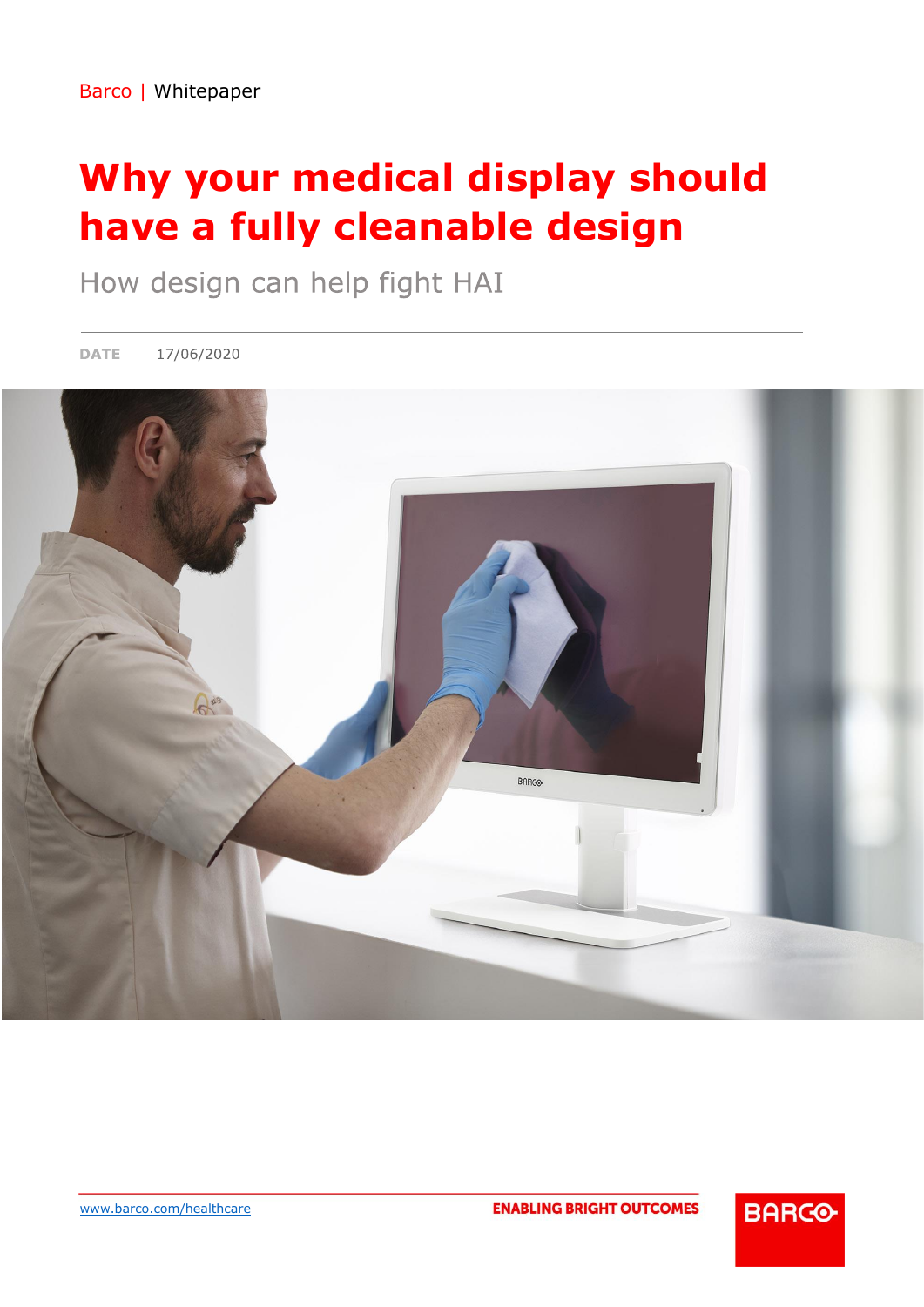# **Why your medical display should have a fully cleanable design**

How design can help fight HAI

17/06/2020 **DATE** 



**ENABLING BRIGHT OUTCOMES** 

**BARGO**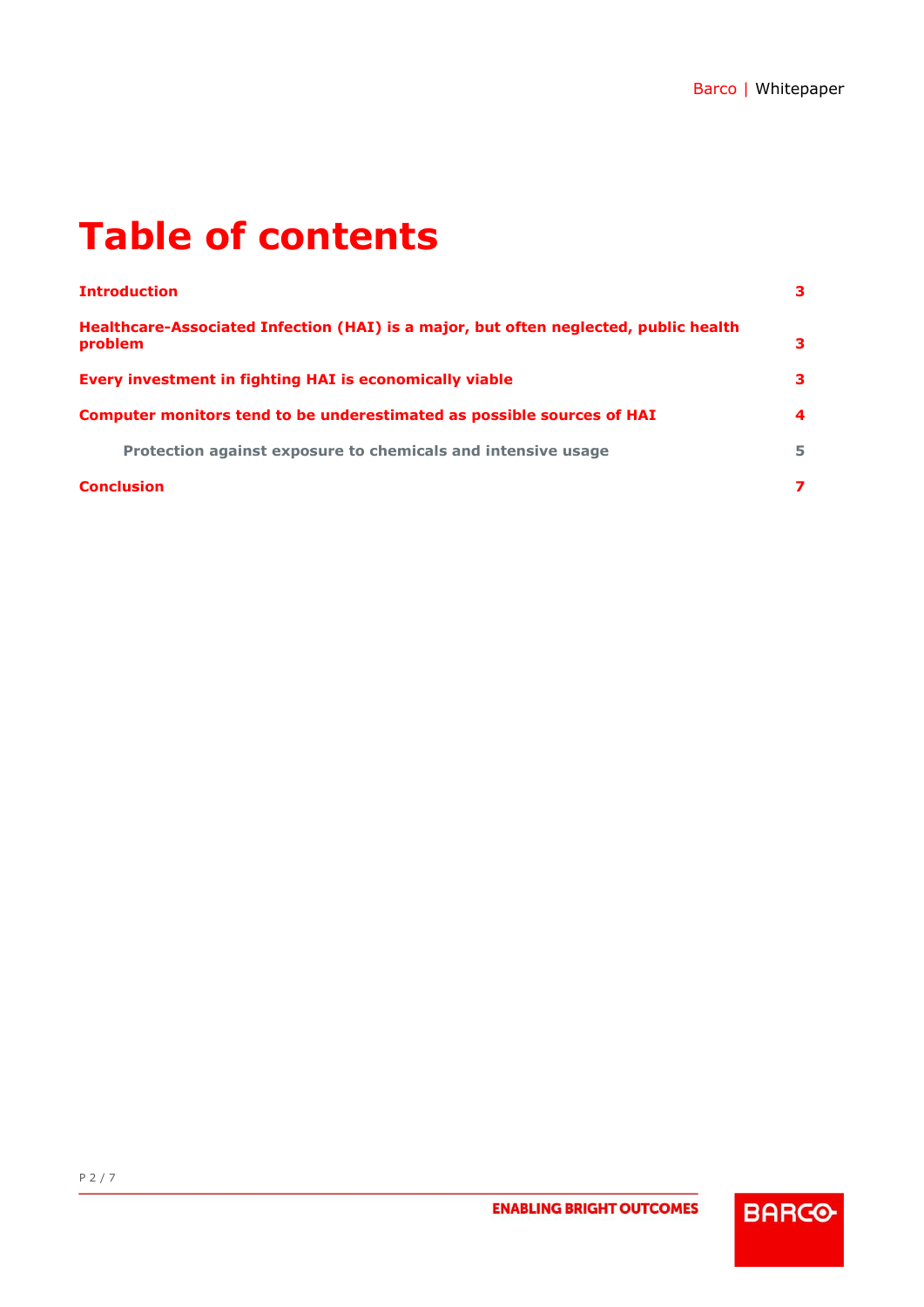# **Table of contents**

| <b>Introduction</b>                                                                             | 3  |
|-------------------------------------------------------------------------------------------------|----|
| Healthcare-Associated Infection (HAI) is a major, but often neglected, public health<br>problem | 3  |
| Every investment in fighting HAI is economically viable                                         | з. |
| Computer monitors tend to be underestimated as possible sources of HAI                          | 4  |
| Protection against exposure to chemicals and intensive usage                                    | 5. |
| <b>Conclusion</b>                                                                               | 7  |

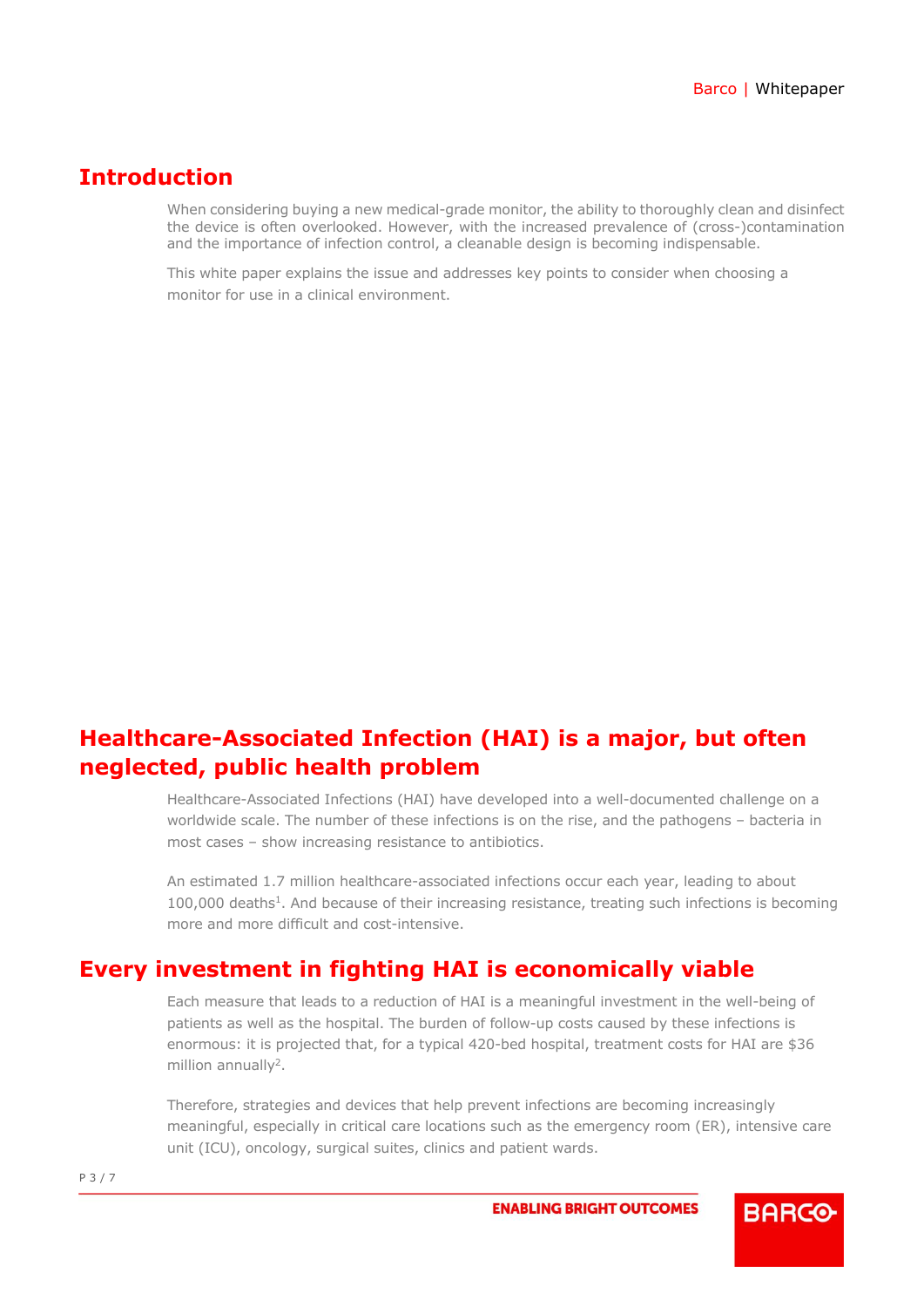#### <span id="page-2-0"></span>**Introduction**

When considering buying a new medical-grade monitor, the ability to thoroughly clean and disinfect the device is often overlooked. However, with the increased prevalence of (cross-)contamination and the importance of infection control, a cleanable design is becoming indispensable.

This white paper explains the issue and addresses key points to consider when choosing a monitor for use in a clinical environment.

### <span id="page-2-1"></span>**Healthcare-Associated Infection (HAI) is a major, but often neglected, public health problem**

Healthcare-Associated Infections (HAI) have developed into a well-documented challenge on a worldwide scale. The number of these infections is on the rise, and the pathogens – bacteria in most cases – show increasing resistance to antibiotics.

An estimated 1.7 million healthcare-associated infections occur each year, leading to about 100,000 deaths<sup>1</sup>. And because of their increasing resistance, treating such infections is becoming more and more difficult and cost-intensive.

### <span id="page-2-2"></span>**Every investment in fighting HAI is economically viable**

Each measure that leads to a reduction of HAI is a meaningful investment in the well-being of patients as well as the hospital. The burden of follow-up costs caused by these infections is enormous: it is projected that, for a typical 420-bed hospital, treatment costs for HAI are \$36 million annually<sup>2</sup>.

Therefore, strategies and devices that help prevent infections are becoming increasingly meaningful, especially in critical care locations such as the emergency room (ER), intensive care unit (ICU), oncology, surgical suites, clinics and patient wards.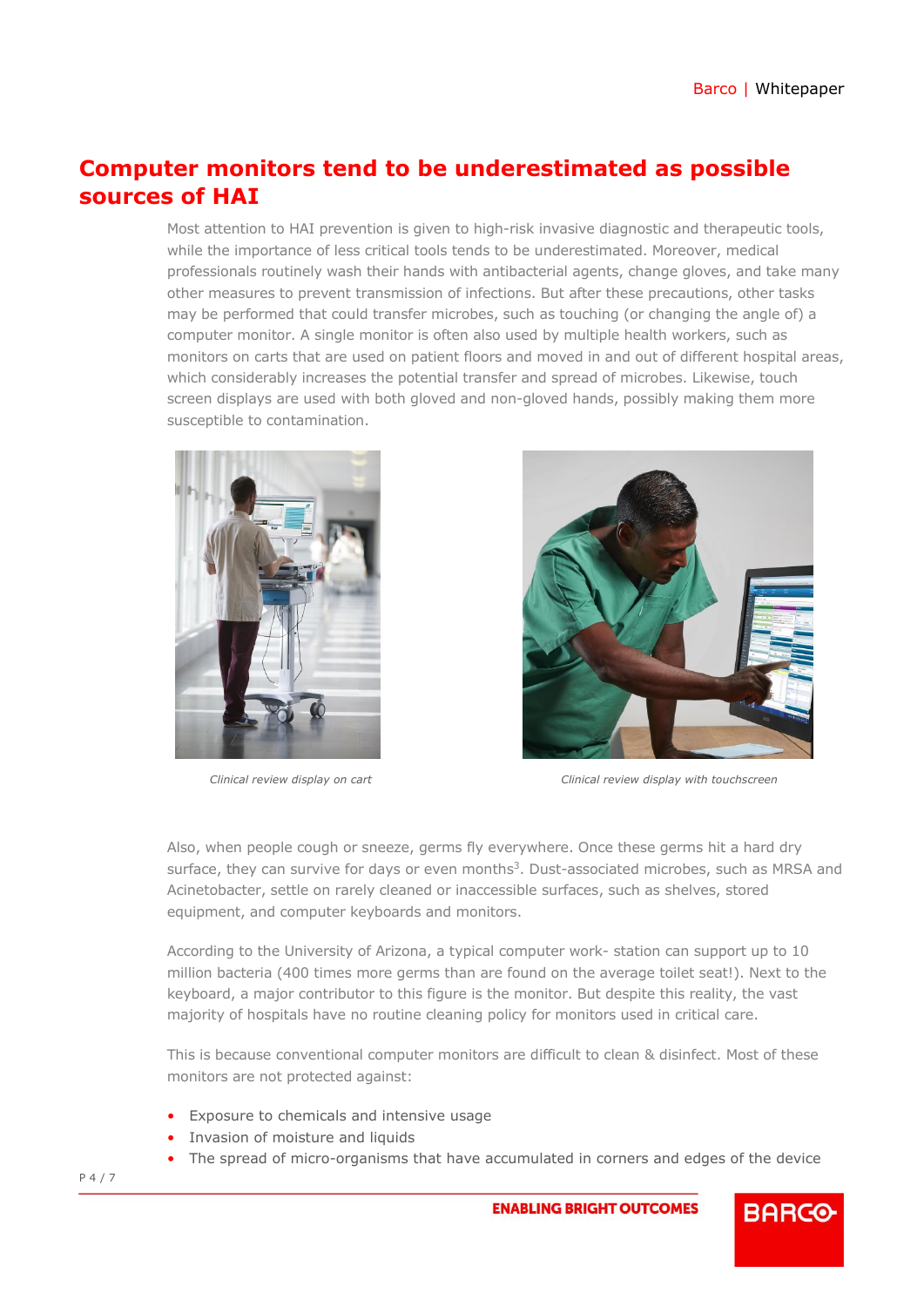## <span id="page-3-0"></span>**Computer monitors tend to be underestimated as possible sources of HAI**

Most attention to HAI prevention is given to high-risk invasive diagnostic and therapeutic tools, while the importance of less critical tools tends to be underestimated. Moreover, medical professionals routinely wash their hands with antibacterial agents, change gloves, and take many other measures to prevent transmission of infections. But after these precautions, other tasks may be performed that could transfer microbes, such as touching (or changing the angle of) a computer monitor. A single monitor is often also used by multiple health workers, such as monitors on carts that are used on patient floors and moved in and out of different hospital areas, which considerably increases the potential transfer and spread of microbes. Likewise, touch screen displays are used with both gloved and non-gloved hands, possibly making them more susceptible to contamination.





*Clinical review display on cart Clinical review display with touchscreen*

Also, when people cough or sneeze, germs fly everywhere. Once these germs hit a hard dry surface, they can survive for days or even months<sup>3</sup>. Dust-associated microbes, such as MRSA and Acinetobacter, settle on rarely cleaned or inaccessible surfaces, such as shelves, stored equipment, and computer keyboards and monitors.

According to the University of Arizona, a typical computer work- station can support up to 10 million bacteria (400 times more germs than are found on the average toilet seat!). Next to the keyboard, a major contributor to this figure is the monitor. But despite this reality, the vast majority of hospitals have no routine cleaning policy for monitors used in critical care.

This is because conventional computer monitors are difficult to clean & disinfect. Most of these monitors are not protected against:

- Exposure to chemicals and intensive usage
- Invasion of moisture and liquids
- <span id="page-3-1"></span>• The spread of micro-organisms that have accumulated in corners and edges of the device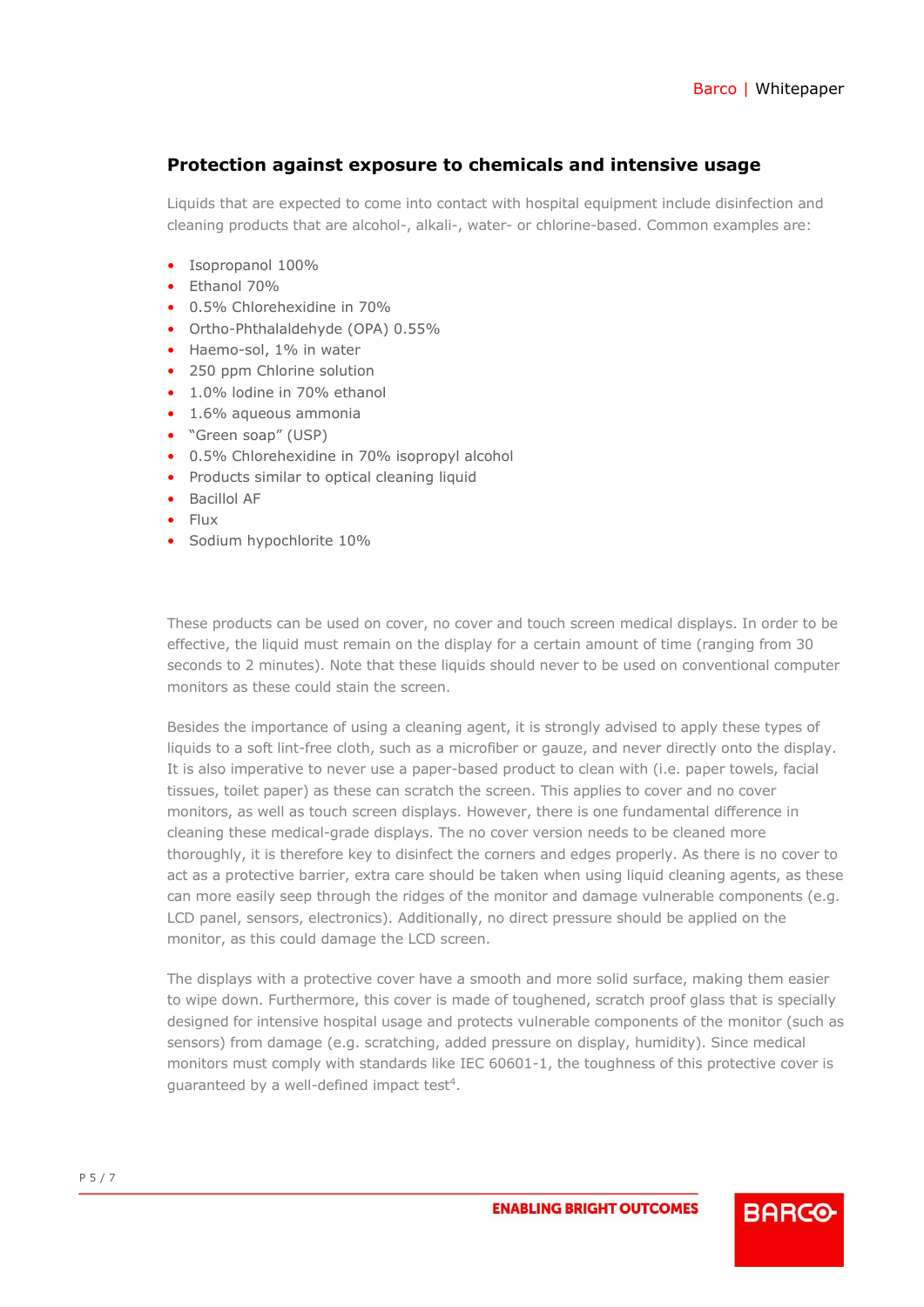#### **Protection against exposure to chemicals and intensive usage**

Liquids that are expected to come into contact with hospital equipment include disinfection and cleaning products that are alcohol-, alkali-, water- or chlorine-based. Common examples are:

- Isopropanol 100%
- Ethanol 70%
- 0.5% Chlorehexidine in 70%
- Ortho-Phthalaldehyde (OPA) 0.55%
- Haemo-sol, 1% in water
- 250 ppm Chlorine solution
- 1.0% lodine in 70% ethanol
- 1.6% aqueous ammonia
- "Green soap" (USP)
- 0.5% Chlorehexidine in 70% isopropyl alcohol
- Products similar to optical cleaning liquid
- Bacillol AF
- Flux
- Sodium hypochlorite 10%

These products can be used on cover, no cover and touch screen medical displays. In order to be effective, the liquid must remain on the display for a certain amount of time (ranging from 30 seconds to 2 minutes). Note that these liquids should never to be used on conventional computer monitors as these could stain the screen.

Besides the importance of using a cleaning agent, it is strongly advised to apply these types of liquids to a soft lint-free cloth, such as a microfiber or gauze, and never directly onto the display. It is also imperative to never use a paper-based product to clean with (i.e. paper towels, facial tissues, toilet paper) as these can scratch the screen. This applies to cover and no cover monitors, as well as touch screen displays. However, there is one fundamental difference in cleaning these medical-grade displays. The no cover version needs to be cleaned more thoroughly, it is therefore key to disinfect the corners and edges properly. As there is no cover to act as a protective barrier, extra care should be taken when using liquid cleaning agents, as these can more easily seep through the ridges of the monitor and damage vulnerable components (e.g. LCD panel, sensors, electronics). Additionally, no direct pressure should be applied on the monitor, as this could damage the LCD screen.

The displays with a protective cover have a smooth and more solid surface, making them easier to wipe down. Furthermore, this cover is made of toughened, scratch proof glass that is specially designed for intensive hospital usage and protects vulnerable components of the monitor (such as sensors) from damage (e.g. scratching, added pressure on display, humidity). Since medical monitors must comply with standards like IEC 60601-1, the toughness of this protective cover is guaranteed by a well-defined impact test<sup>4</sup>.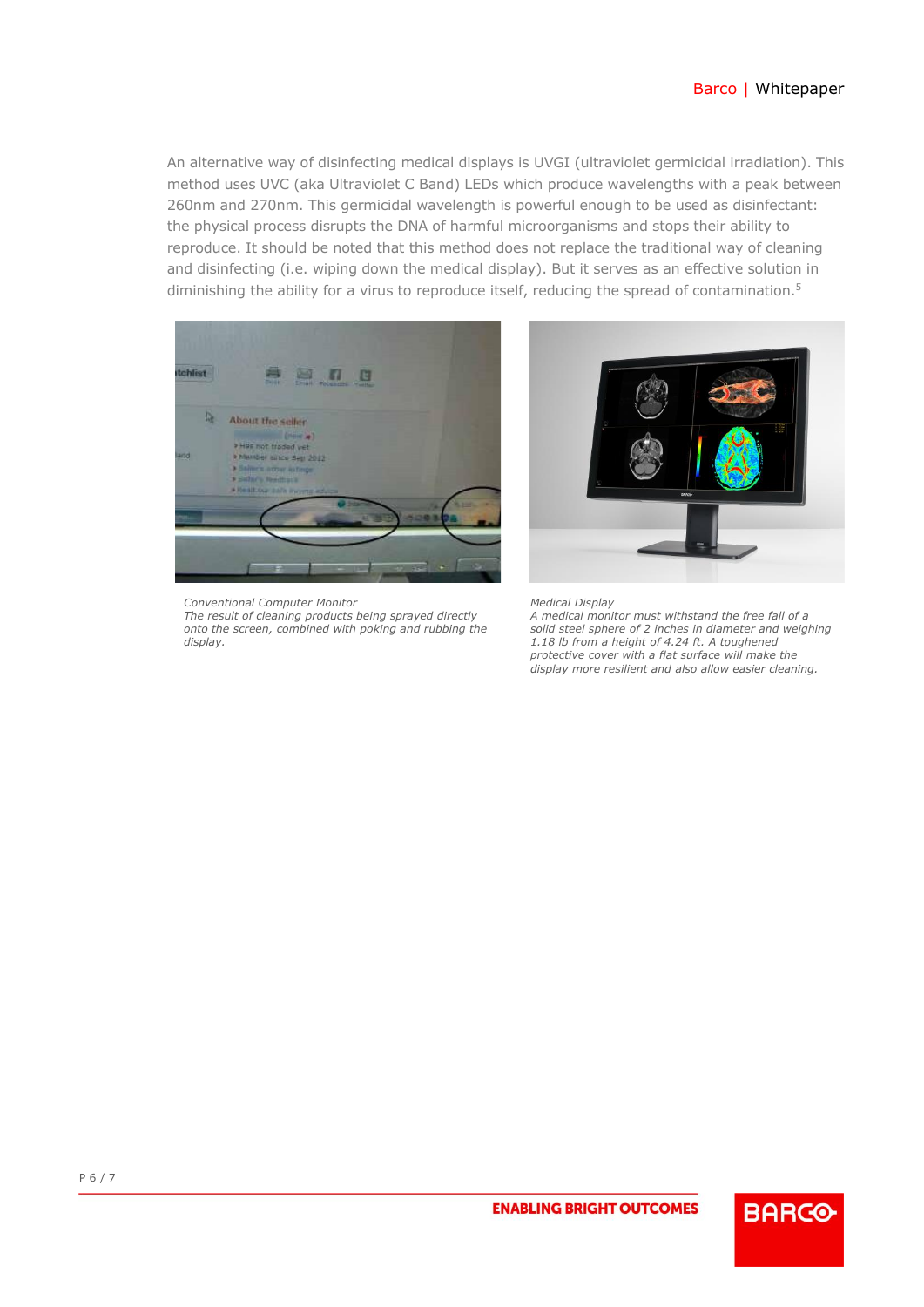#### Barco | Whitepaper

An alternative way of disinfecting medical displays is UVGI (ultraviolet germicidal irradiation). This method uses UVC (aka Ultraviolet C Band) LEDs which produce wavelengths with a peak between 260nm and 270nm. This germicidal wavelength is powerful enough to be used as disinfectant: the physical process disrupts the DNA of harmful microorganisms and stops their ability to reproduce. It should be noted that this method does not replace the traditional way of cleaning and disinfecting (i.e. wiping down the medical display). But it serves as an effective solution in diminishing the ability for a virus to reproduce itself, reducing the spread of contamination.<sup>5</sup>



<span id="page-5-0"></span>*Conventional Computer Monitor The result of cleaning products being sprayed directly onto the screen, combined with poking and rubbing the display.*



*Medical Display*

*A medical monitor must withstand the free fall of a solid steel sphere of 2 inches in diameter and weighing 1.18 lb from a height of 4.24 ft. A toughened protective cover with a flat surface will make the display more resilient and also allow easier cleaning.*